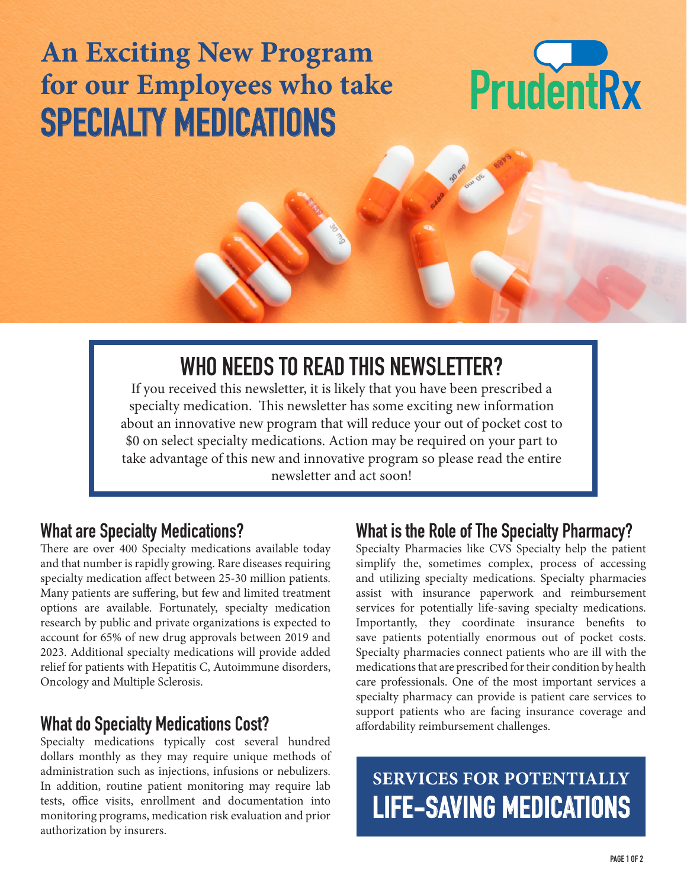# **An Exciting New Program for our Employees who take SPECIALTY MEDICATIONS**



# **WHO NEEDS TO READ THIS NEWSLETTER?**

If you received this newsletter, it is likely that you have been prescribed a specialty medication. This newsletter has some exciting new information about an innovative new program that will reduce your out of pocket cost to \$0 on select specialty medications. Action may be required on your part to take advantage of this new and innovative program so please read the entire newsletter and act soon!

#### **What are Specialty Medications?**

There are over 400 Specialty medications available today and that number is rapidly growing. Rare diseases requiring specialty medication affect between 25-30 million patients. Many patients are suffering, but few and limited treatment options are available. Fortunately, specialty medication research by public and private organizations is expected to account for 65% of new drug approvals between 2019 and 2023. Additional specialty medications will provide added relief for patients with Hepatitis C, Autoimmune disorders, Oncology and Multiple Sclerosis.

#### **What do Specialty Medications Cost?**

Specialty medications typically cost several hundred dollars monthly as they may require unique methods of administration such as injections, infusions or nebulizers. In addition, routine patient monitoring may require lab tests, office visits, enrollment and documentation into monitoring programs, medication risk evaluation and prior authorization by insurers.

#### **What is the Role of The Specialty Pharmacy?**

Specialty Pharmacies like CVS Specialty help the patient simplify the, sometimes complex, process of accessing and utilizing specialty medications. Specialty pharmacies assist with insurance paperwork and reimbursement services for potentially life-saving specialty medications. Importantly, they coordinate insurance benefits to save patients potentially enormous out of pocket costs. Specialty pharmacies connect patients who are ill with the medications that are prescribed for their condition by health care professionals. One of the most important services a specialty pharmacy can provide is patient care services to support patients who are facing insurance coverage and affordability reimbursement challenges.

**SERVICES FOR POTENTIALLY LIFE-SAVING MEDICATIONS**